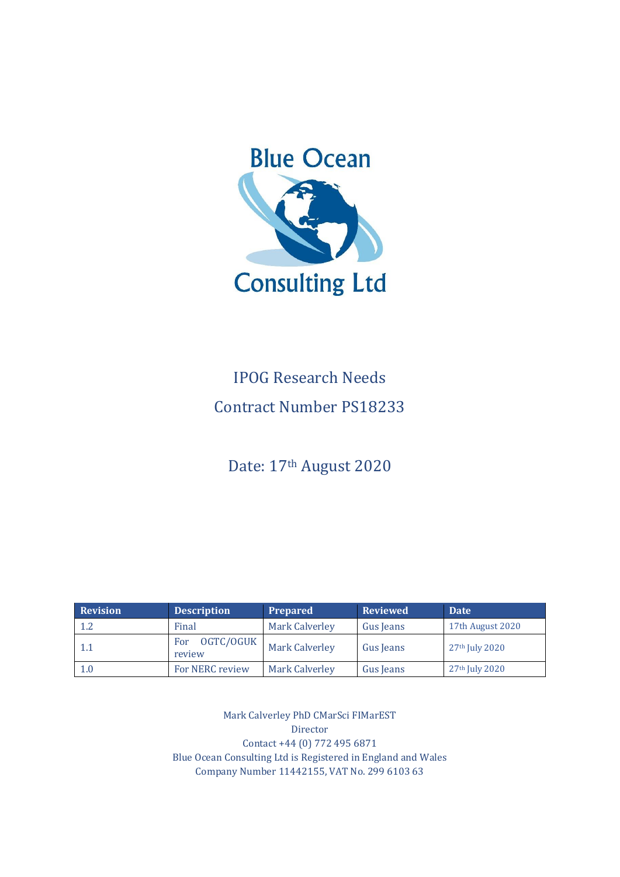

# IPOG Research Needs Contract Number PS18233

Date: 17th August 2020

| <b>Revision</b> | <b>Description</b>         | <b>Prepared</b>       | <b>Reviewed</b> | <b>Date</b>                |
|-----------------|----------------------------|-----------------------|-----------------|----------------------------|
| $1.2\,$         | Final                      | <b>Mark Calverley</b> | Gus Jeans       | 17th August 2020           |
| 1.1             | OGTC/OGUK<br>For<br>review | <b>Mark Calverley</b> | Gus Jeans       | 27 <sup>th</sup> July 2020 |
| 1.0             | <b>For NERC review</b>     | <b>Mark Calverley</b> | Gus Jeans       | 27 <sup>th</sup> July 2020 |

Mark Calverley PhD CMarSci FIMarEST Director Contact +44 (0) 772 495 6871 Blue Ocean Consulting Ltd is Registered in England and Wales Company Number 11442155, VAT No. 299 6103 63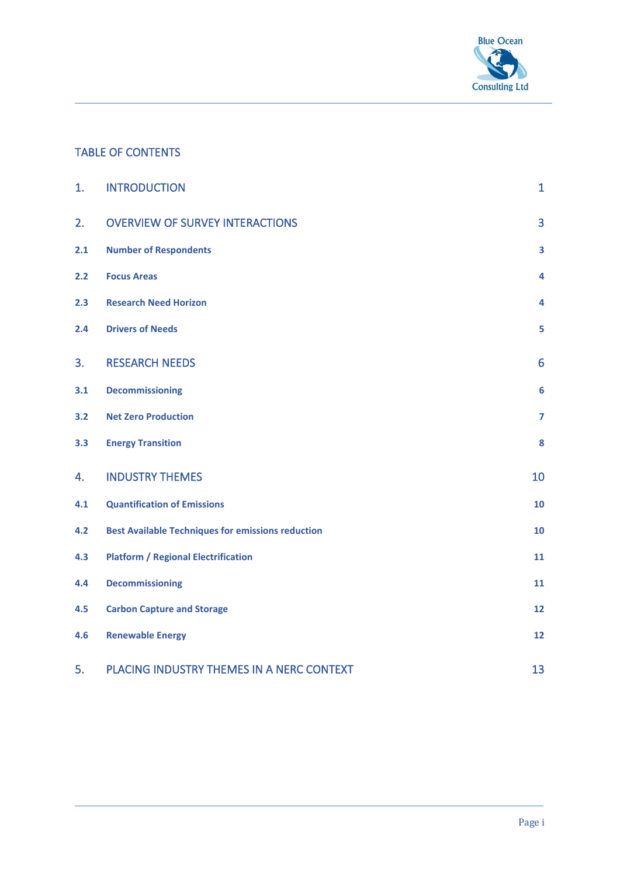

## TABLE OF CONTENTS

| 1.  | <b>INTRODUCTION</b>                                      | $\mathbf{1}$            |
|-----|----------------------------------------------------------|-------------------------|
| 2.  | <b>OVERVIEW OF SURVEY INTERACTIONS</b>                   | 3                       |
| 2.1 | <b>Number of Respondents</b>                             | $\overline{\mathbf{3}}$ |
| 2.2 | <b>Focus Areas</b>                                       | 4                       |
| 2.3 | <b>Research Need Horizon</b>                             | 4                       |
| 2.4 | <b>Drivers of Needs</b>                                  | 5                       |
| 3.  | <b>RESEARCH NEEDS</b>                                    | 6                       |
| 3.1 | <b>Decommissioning</b>                                   | $6\phantom{1}6$         |
| 3.2 | <b>Net Zero Production</b>                               | $\overline{\mathbf{z}}$ |
| 3.3 | <b>Energy Transition</b>                                 | 8                       |
| 4.  | <b>INDUSTRY THEMES</b>                                   | 10                      |
| 4.1 | <b>Quantification of Emissions</b>                       | 10                      |
| 4.2 | <b>Best Available Techniques for emissions reduction</b> | 10                      |
| 4.3 | <b>Platform / Regional Electrification</b>               | 11                      |
| 4.4 | <b>Decommissioning</b>                                   | 11                      |
| 4.5 | <b>Carbon Capture and Storage</b>                        | 12                      |
| 4.6 | <b>Renewable Energy</b>                                  | 12                      |
| 5.  | PLACING INDUSTRY THEMES IN A NERC CONTEXT                | 13                      |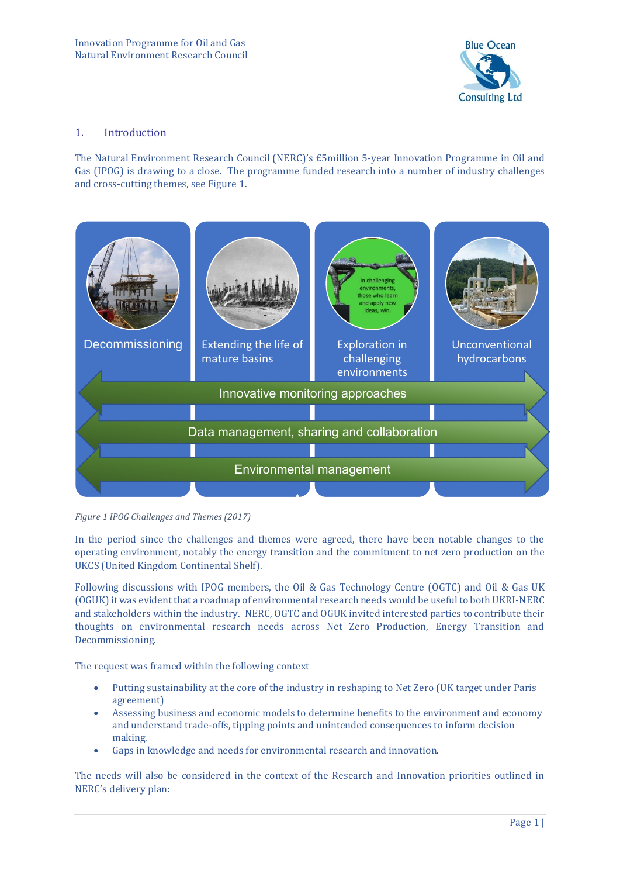

#### 1. Introduction

The Natural Environment Research Council (NERC)'s £5million 5-year Innovation Programme in Oil and Gas (IPOG) is drawing to a close. The programme funded research into a number of industry challenges and cross-cutting themes, see [Figure 1.](#page-2-0)



<span id="page-2-0"></span>*Figure 1 IPOG Challenges and Themes (2017)*

In the period since the challenges and themes were agreed, there have been notable changes to the operating environment, notably the energy transition and the commitment to net zero production on the UKCS (United Kingdom Continental Shelf).

Following discussions with IPOG members, the Oil & Gas Technology Centre (OGTC) and Oil & Gas UK (OGUK) it was evident that a roadmap of environmental research needs would be useful to both UKRI-NERC and stakeholders within the industry. NERC, OGTC and OGUK invited interested parties to contribute their thoughts on environmental research needs across Net Zero Production, Energy Transition and Decommissioning.

The request was framed within the following context

- Putting sustainability at the core of the industry in reshaping to Net Zero (UK target under Paris agreement)
- Assessing business and economic models to determine benefits to the environment and economy and understand trade-offs, tipping points and unintended consequences to inform decision making.
- Gaps in knowledge and needs for environmental research and innovation.

The needs will also be considered in the context of the Research and Innovation priorities outlined in NERC's delivery plan: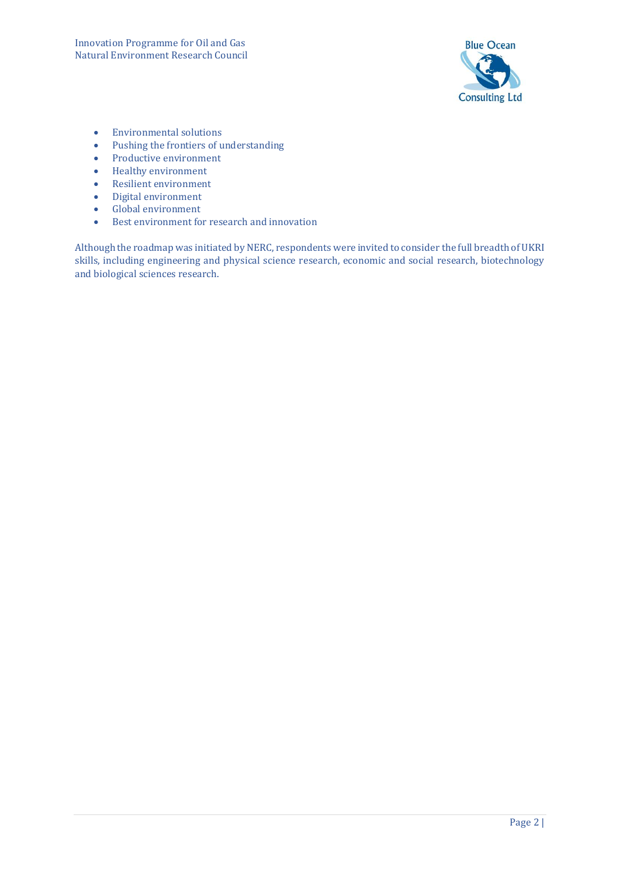

- Environmental solutions
- Pushing the frontiers of understanding
- Productive environment
- Healthy environment
- Resilient environment
- Digital environment
- Global environment
- Best environment for research and innovation

Although the roadmap was initiated by NERC, respondents were invited to consider the full breadth of UKRI skills, including engineering and physical science research, economic and social research, biotechnology and biological sciences research.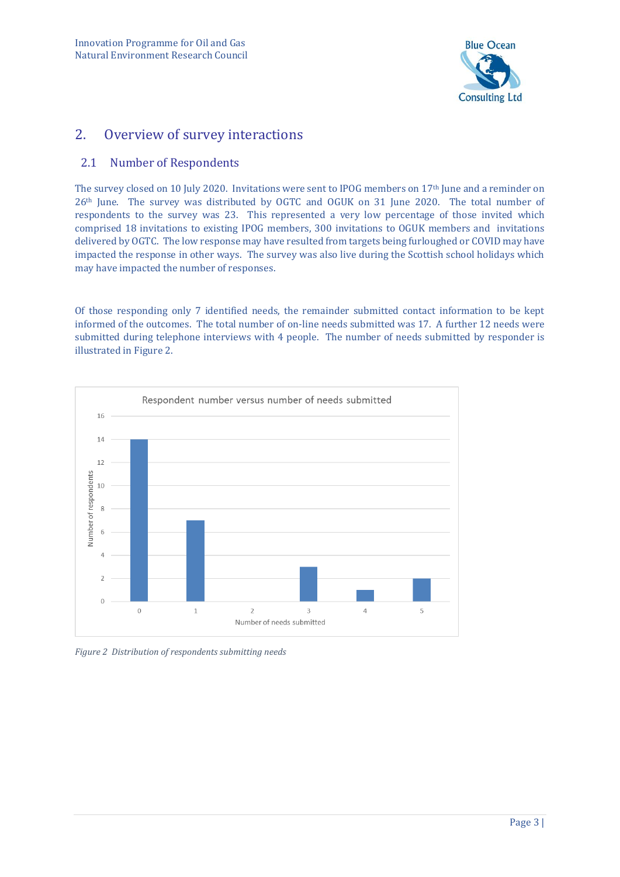

## 2. Overview of survey interactions

#### 2.1 Number of Respondents

The survey closed on 10 July 2020. Invitations were sent to IPOG members on 17<sup>th</sup> June and a reminder on 26th June. The survey was distributed by OGTC and OGUK on 31 June 2020. The total number of respondents to the survey was 23. This represented a very low percentage of those invited which comprised 18 invitations to existing IPOG members, 300 invitations to OGUK members and invitations delivered by OGTC. The low response may have resulted from targets being furloughed or COVID may have impacted the response in other ways. The survey was also live during the Scottish school holidays which may have impacted the number of responses.

Of those responding only 7 identified needs, the remainder submitted contact information to be kept informed of the outcomes. The total number of on-line needs submitted was 17. A further 12 needs were submitted during telephone interviews with 4 people. The number of needs submitted by responder is illustrated in [Figure 2.](#page-4-0) 



<span id="page-4-0"></span>*Figure 2 Distribution of respondents submitting needs*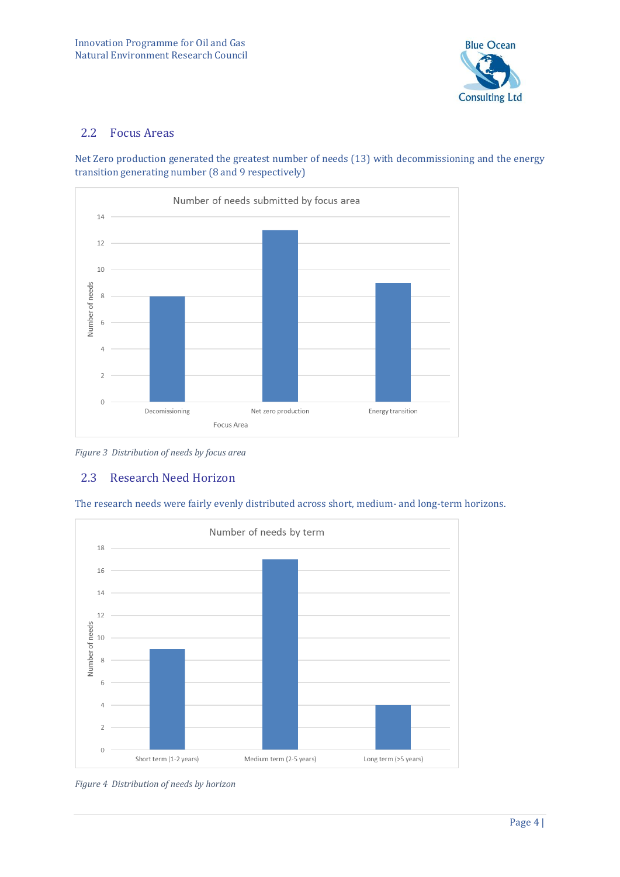

#### 2.2 Focus Areas

Net Zero production generated the greatest number of needs (13) with decommissioning and the energy transition generating number (8 and 9 respectively)



*Figure 3 Distribution of needs by focus area*

### 2.3 Research Need Horizon

The research needs were fairly evenly distributed across short, medium- and long-term horizons.



*Figure 4 Distribution of needs by horizon*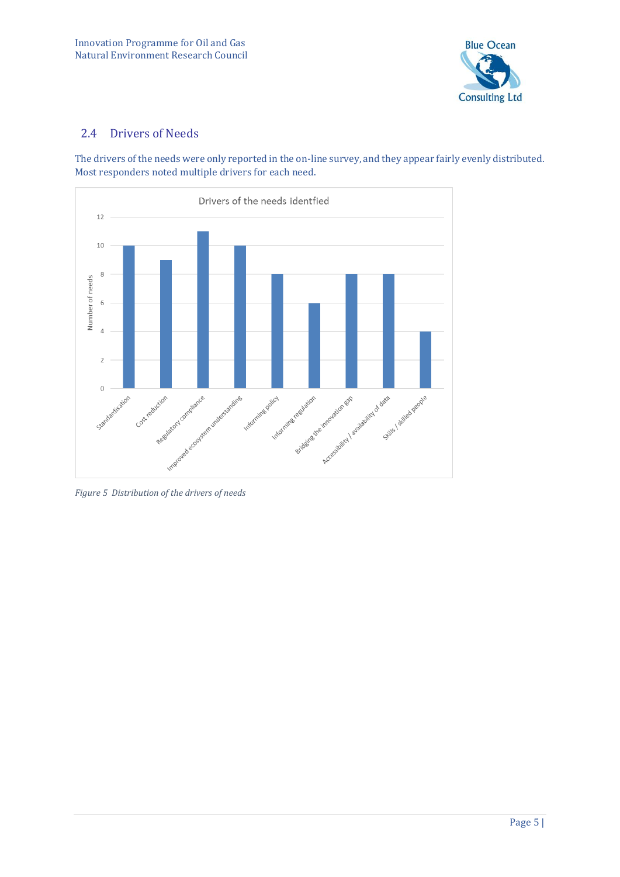

#### 2.4 Drivers of Needs

The drivers of the needs were only reported in the on-line survey, and they appear fairly evenly distributed. Most responders noted multiple drivers for each need.



*Figure 5 Distribution of the drivers of needs*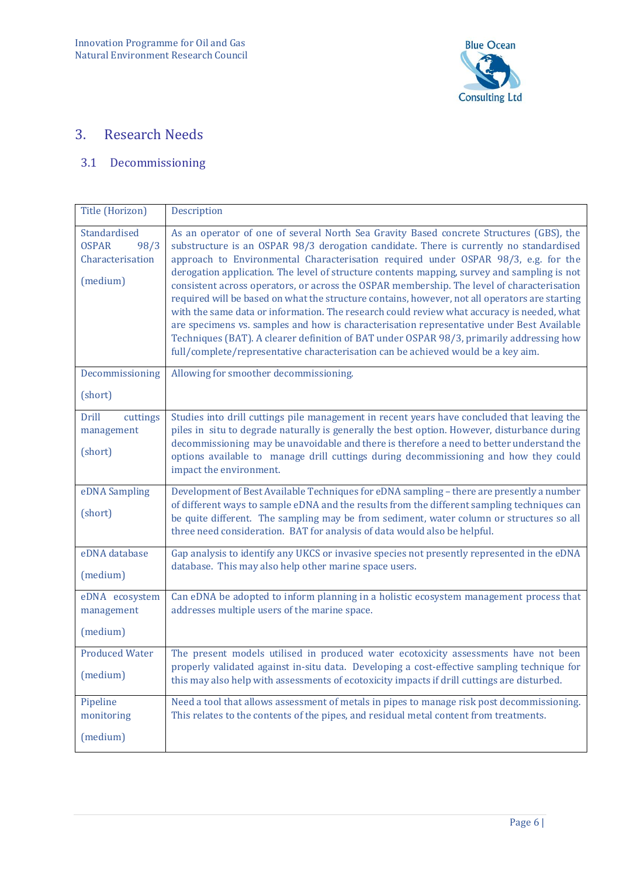

# 3. Research Needs

## 3.1 Decommissioning

| Title (Horizon)                                                      | Description                                                                                                                                                                                                                                                                                                                                                                                                                                                                                                                                                                                                                                                                                                                                                                                                                                                                                                                                        |
|----------------------------------------------------------------------|----------------------------------------------------------------------------------------------------------------------------------------------------------------------------------------------------------------------------------------------------------------------------------------------------------------------------------------------------------------------------------------------------------------------------------------------------------------------------------------------------------------------------------------------------------------------------------------------------------------------------------------------------------------------------------------------------------------------------------------------------------------------------------------------------------------------------------------------------------------------------------------------------------------------------------------------------|
| Standardised<br><b>OSPAR</b><br>98/3<br>Characterisation<br>(medium) | As an operator of one of several North Sea Gravity Based concrete Structures (GBS), the<br>substructure is an OSPAR 98/3 derogation candidate. There is currently no standardised<br>approach to Environmental Characterisation required under OSPAR 98/3, e.g. for the<br>derogation application. The level of structure contents mapping, survey and sampling is not<br>consistent across operators, or across the OSPAR membership. The level of characterisation<br>required will be based on what the structure contains, however, not all operators are starting<br>with the same data or information. The research could review what accuracy is needed, what<br>are specimens vs. samples and how is characterisation representative under Best Available<br>Techniques (BAT). A clearer definition of BAT under OSPAR 98/3, primarily addressing how<br>full/complete/representative characterisation can be achieved would be a key aim. |
| Decommissioning                                                      | Allowing for smoother decommissioning.                                                                                                                                                                                                                                                                                                                                                                                                                                                                                                                                                                                                                                                                                                                                                                                                                                                                                                             |
| (short)                                                              |                                                                                                                                                                                                                                                                                                                                                                                                                                                                                                                                                                                                                                                                                                                                                                                                                                                                                                                                                    |
| <b>Drill</b><br>cuttings<br>management<br>(short)                    | Studies into drill cuttings pile management in recent years have concluded that leaving the<br>piles in situ to degrade naturally is generally the best option. However, disturbance during<br>decommissioning may be unavoidable and there is therefore a need to better understand the<br>options available to manage drill cuttings during decommissioning and how they could<br>impact the environment.                                                                                                                                                                                                                                                                                                                                                                                                                                                                                                                                        |
| eDNA Sampling<br>(short)                                             | Development of Best Available Techniques for eDNA sampling - there are presently a number<br>of different ways to sample eDNA and the results from the different sampling techniques can<br>be quite different. The sampling may be from sediment, water column or structures so all<br>three need consideration. BAT for analysis of data would also be helpful.                                                                                                                                                                                                                                                                                                                                                                                                                                                                                                                                                                                  |
| eDNA database<br>(medium)                                            | Gap analysis to identify any UKCS or invasive species not presently represented in the eDNA<br>database. This may also help other marine space users.                                                                                                                                                                                                                                                                                                                                                                                                                                                                                                                                                                                                                                                                                                                                                                                              |
| eDNA ecosystem<br>management<br>(medium)                             | Can eDNA be adopted to inform planning in a holistic ecosystem management process that<br>addresses multiple users of the marine space.                                                                                                                                                                                                                                                                                                                                                                                                                                                                                                                                                                                                                                                                                                                                                                                                            |
| <b>Produced Water</b><br>(medium)                                    | The present models utilised in produced water ecotoxicity assessments have not been<br>properly validated against in-situ data. Developing a cost-effective sampling technique for<br>this may also help with assessments of ecotoxicity impacts if drill cuttings are disturbed.                                                                                                                                                                                                                                                                                                                                                                                                                                                                                                                                                                                                                                                                  |
| Pipeline<br>monitoring<br>(medium)                                   | Need a tool that allows assessment of metals in pipes to manage risk post decommissioning.<br>This relates to the contents of the pipes, and residual metal content from treatments.                                                                                                                                                                                                                                                                                                                                                                                                                                                                                                                                                                                                                                                                                                                                                               |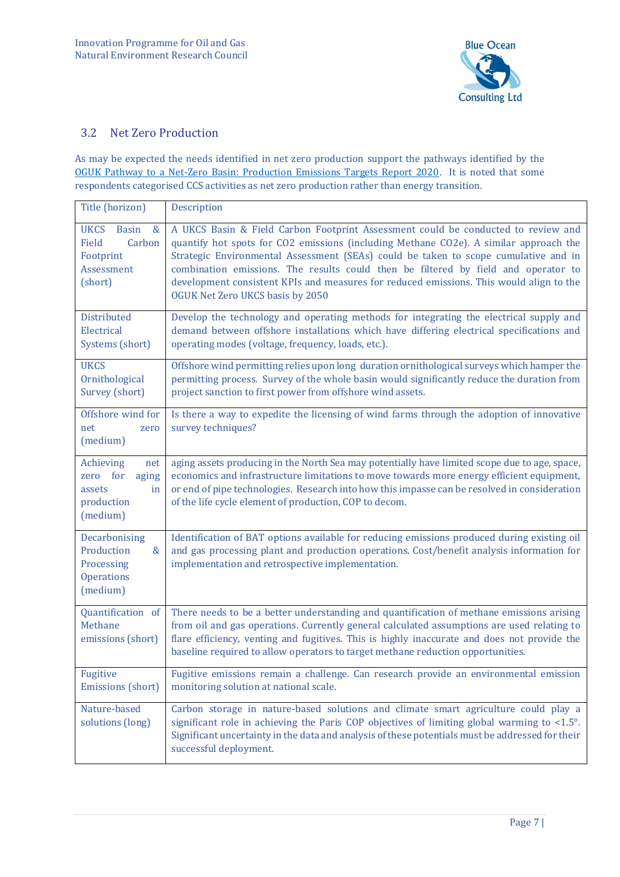

#### 3.2 Net Zero Production

As may be expected the needs identified in net zero production support the pathways identified by the OGUK [Pathway to a Net-Zero Basin: Production Emissions Targets Report 2020.](https://oilandgasuk.cld.bz/OGUK-Pathway-to-a-Net-Zero-Basin-Production-Emissions-Targets-Report-2020) It is noted that some respondents categorised CCS activities as net zero production rather than energy transition.

| Title (horizon)                                                                              | Description                                                                                                                                                                                                                                                                                                                                                                                                                                                                            |
|----------------------------------------------------------------------------------------------|----------------------------------------------------------------------------------------------------------------------------------------------------------------------------------------------------------------------------------------------------------------------------------------------------------------------------------------------------------------------------------------------------------------------------------------------------------------------------------------|
| <b>UKCS</b><br><b>Basin</b><br>$\&$<br>Field<br>Carbon<br>Footprint<br>Assessment<br>(short) | A UKCS Basin & Field Carbon Footprint Assessment could be conducted to review and<br>quantify hot spots for CO2 emissions (including Methane CO2e). A similar approach the<br>Strategic Environmental Assessment (SEAs) could be taken to scope cumulative and in<br>combination emissions. The results could then be filtered by field and operator to<br>development consistent KPIs and measures for reduced emissions. This would align to the<br>OGUK Net Zero UKCS basis by 2050 |
| Distributed<br>Electrical<br>Systems (short)                                                 | Develop the technology and operating methods for integrating the electrical supply and<br>demand between offshore installations which have differing electrical specifications and<br>operating modes (voltage, frequency, loads, etc.).                                                                                                                                                                                                                                               |
| <b>UKCS</b><br>Ornithological<br>Survey (short)                                              | Offshore wind permitting relies upon long duration ornithological surveys which hamper the<br>permitting process. Survey of the whole basin would significantly reduce the duration from<br>project sanction to first power from offshore wind assets.                                                                                                                                                                                                                                 |
| Offshore wind for<br>net<br>zero<br>(medium)                                                 | Is there a way to expedite the licensing of wind farms through the adoption of innovative<br>survey techniques?                                                                                                                                                                                                                                                                                                                                                                        |
| Achieving<br>net<br>for<br>zero<br>aging<br>in<br>assets<br>production<br>(medium)           | aging assets producing in the North Sea may potentially have limited scope due to age, space,<br>economics and infrastructure limitations to move towards more energy efficient equipment,<br>or end of pipe technologies. Research into how this impasse can be resolved in consideration<br>of the life cycle element of production, COP to decom.                                                                                                                                   |
| Decarbonising<br>Production<br>&<br>Processing<br><b>Operations</b><br>(medium)              | Identification of BAT options available for reducing emissions produced during existing oil<br>and gas processing plant and production operations. Cost/benefit analysis information for<br>implementation and retrospective implementation.                                                                                                                                                                                                                                           |
| Quantification of<br>Methane<br>emissions (short)                                            | There needs to be a better understanding and quantification of methane emissions arising<br>from oil and gas operations. Currently general calculated assumptions are used relating to<br>flare efficiency, venting and fugitives. This is highly inaccurate and does not provide the<br>baseline required to allow operators to target methane reduction opportunities.                                                                                                               |
| Fugitive<br>Emissions (short)                                                                | Fugitive emissions remain a challenge. Can research provide an environmental emission<br>monitoring solution at national scale.                                                                                                                                                                                                                                                                                                                                                        |
| Nature-based<br>solutions (long)                                                             | Carbon storage in nature-based solutions and climate smart agriculture could play a<br>significant role in achieving the Paris COP objectives of limiting global warming to $\leq 1.5^{\circ}$ .<br>Significant uncertainty in the data and analysis of these potentials must be addressed for their<br>successful deployment.                                                                                                                                                         |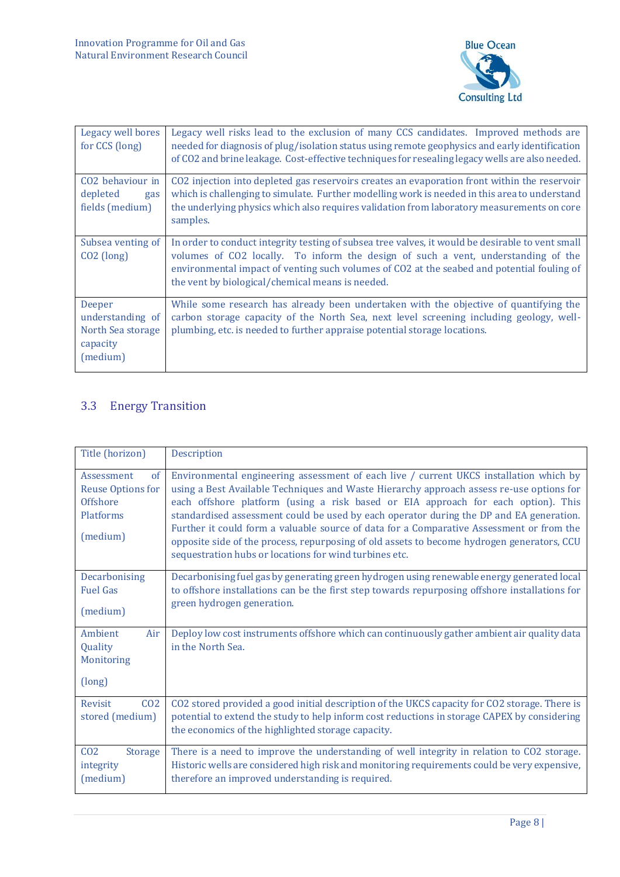

| Legacy well bores<br>for CCS (long)                                     | Legacy well risks lead to the exclusion of many CCS candidates. Improved methods are<br>needed for diagnosis of plug/isolation status using remote geophysics and early identification<br>of CO2 and brine leakage. Cost-effective techniques for resealing legacy wells are also needed.                                               |
|-------------------------------------------------------------------------|-----------------------------------------------------------------------------------------------------------------------------------------------------------------------------------------------------------------------------------------------------------------------------------------------------------------------------------------|
| CO <sub>2</sub> behaviour in<br>depleted<br>gas<br>fields (medium)      | CO2 injection into depleted gas reservoirs creates an evaporation front within the reservoir<br>which is challenging to simulate. Further modelling work is needed in this area to understand<br>the underlying physics which also requires validation from laboratory measurements on core<br>samples.                                 |
| Subsea venting of<br>$CO2$ (long)                                       | In order to conduct integrity testing of subsea tree valves, it would be desirable to vent small<br>volumes of CO2 locally. To inform the design of such a vent, understanding of the<br>environmental impact of venting such volumes of CO2 at the seabed and potential fouling of<br>the vent by biological/chemical means is needed. |
| Deeper<br>understanding of<br>North Sea storage<br>capacity<br>(medium) | While some research has already been undertaken with the objective of quantifying the<br>carbon storage capacity of the North Sea, next level screening including geology, well-<br>plumbing, etc. is needed to further appraise potential storage locations.                                                                           |

## 3.3 Energy Transition

| Title (horizon)                                                                   | Description                                                                                                                                                                                                                                                                                                                                                                                                                                                                                                                                                                                                            |
|-----------------------------------------------------------------------------------|------------------------------------------------------------------------------------------------------------------------------------------------------------------------------------------------------------------------------------------------------------------------------------------------------------------------------------------------------------------------------------------------------------------------------------------------------------------------------------------------------------------------------------------------------------------------------------------------------------------------|
| Assessment<br>of<br><b>Reuse Options for</b><br>Offshore<br>Platforms<br>(medium) | Environmental engineering assessment of each live / current UKCS installation which by<br>using a Best Available Techniques and Waste Hierarchy approach assess re-use options for<br>each offshore platform (using a risk based or EIA approach for each option). This<br>standardised assessment could be used by each operator during the DP and EA generation.<br>Further it could form a valuable source of data for a Comparative Assessment or from the<br>opposite side of the process, repurposing of old assets to become hydrogen generators, CCU<br>sequestration hubs or locations for wind turbines etc. |
| Decarbonising<br><b>Fuel Gas</b><br>(medium)                                      | Decarbonising fuel gas by generating green hydrogen using renewable energy generated local<br>to offshore installations can be the first step towards repurposing offshore installations for<br>green hydrogen generation.                                                                                                                                                                                                                                                                                                                                                                                             |
| Ambient<br>Air<br>Quality<br>Monitoring<br>(long)                                 | Deploy low cost instruments offshore which can continuously gather ambient air quality data<br>in the North Sea.                                                                                                                                                                                                                                                                                                                                                                                                                                                                                                       |
| CO <sub>2</sub><br><b>Revisit</b><br>stored (medium)                              | CO2 stored provided a good initial description of the UKCS capacity for CO2 storage. There is<br>potential to extend the study to help inform cost reductions in storage CAPEX by considering<br>the economics of the highlighted storage capacity.                                                                                                                                                                                                                                                                                                                                                                    |
| CO <sub>2</sub><br><b>Storage</b><br>integrity<br>(medium)                        | There is a need to improve the understanding of well integrity in relation to CO2 storage.<br>Historic wells are considered high risk and monitoring requirements could be very expensive,<br>therefore an improved understanding is required.                                                                                                                                                                                                                                                                                                                                                                         |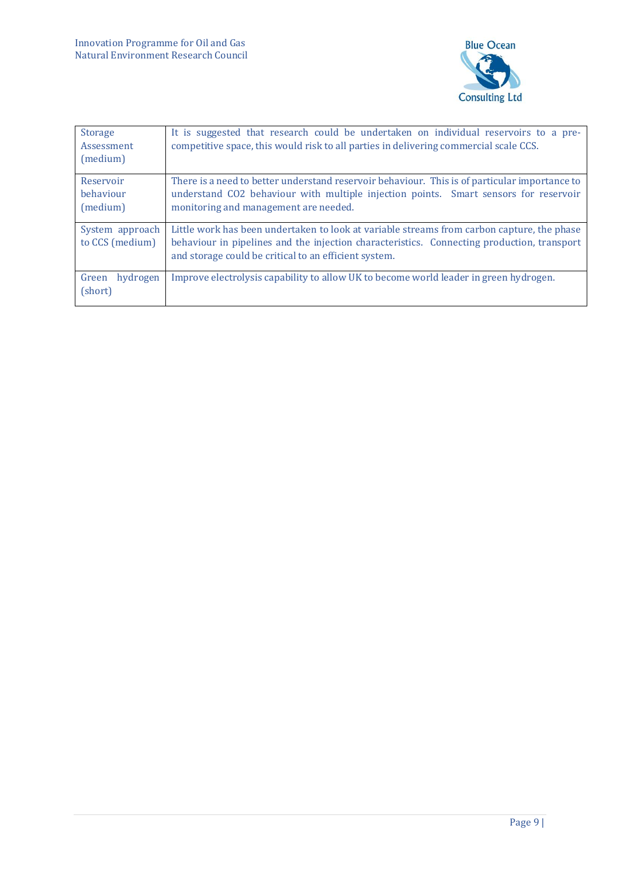

| <b>Storage</b><br>Assessment<br>(medium) | It is suggested that research could be undertaken on individual reservoirs to a pre-<br>competitive space, this would risk to all parties in delivering commercial scale CCS.                                                                     |
|------------------------------------------|---------------------------------------------------------------------------------------------------------------------------------------------------------------------------------------------------------------------------------------------------|
| Reservoir<br>behaviour<br>(medium)       | There is a need to better understand reservoir behaviour. This is of particular importance to<br>understand CO2 behaviour with multiple injection points. Smart sensors for reservoir<br>monitoring and management are needed.                    |
| System approach<br>to CCS (medium)       | Little work has been undertaken to look at variable streams from carbon capture, the phase<br>behaviour in pipelines and the injection characteristics. Connecting production, transport<br>and storage could be critical to an efficient system. |
| Green<br>hydrogen<br>(short)             | Improve electrolysis capability to allow UK to become world leader in green hydrogen.                                                                                                                                                             |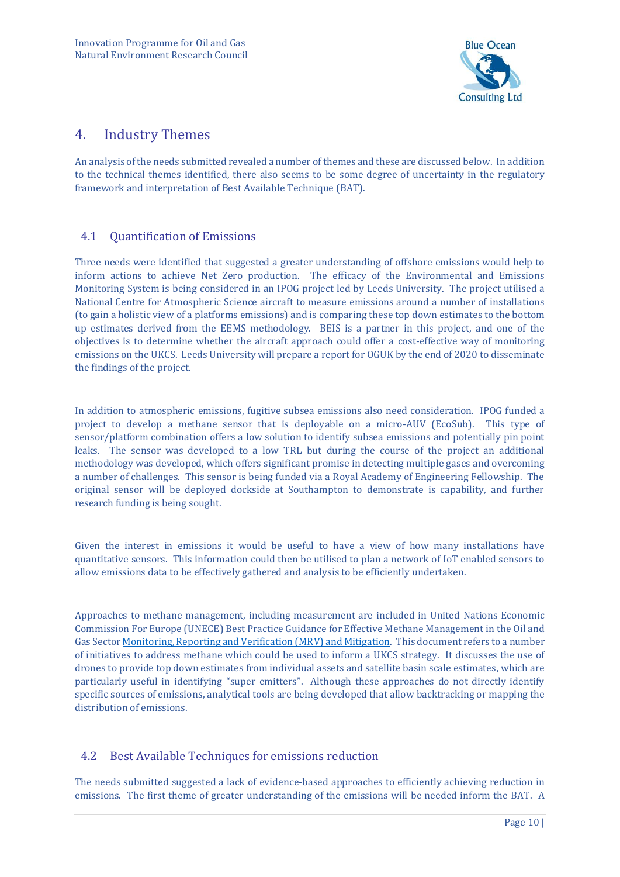

## 4. Industry Themes

An analysis of the needs submitted revealed a number of themes and these are discussed below. In addition to the technical themes identified, there also seems to be some degree of uncertainty in the regulatory framework and interpretation of Best Available Technique (BAT).

#### 4.1 Quantification of Emissions

Three needs were identified that suggested a greater understanding of offshore emissions would help to inform actions to achieve Net Zero production. The efficacy of the Environmental and Emissions Monitoring System is being considered in an IPOG project led by Leeds University. The project utilised a National Centre for Atmospheric Science aircraft to measure emissions around a number of installations (to gain a holistic view of a platforms emissions) and is comparing these top down estimates to the bottom up estimates derived from the EEMS methodology. BEIS is a partner in this project, and one of the objectives is to determine whether the aircraft approach could offer a cost-effective way of monitoring emissions on the UKCS. Leeds University will prepare a report for OGUK by the end of 2020 to disseminate the findings of the project.

In addition to atmospheric emissions, fugitive subsea emissions also need consideration. IPOG funded a project to develop a methane sensor that is deployable on a micro-AUV (EcoSub). This type of sensor/platform combination offers a low solution to identify subsea emissions and potentially pin point leaks. The sensor was developed to a low TRL but during the course of the project an additional methodology was developed, which offers significant promise in detecting multiple gases and overcoming a number of challenges. This sensor is being funded via a Royal Academy of Engineering Fellowship. The original sensor will be deployed dockside at Southampton to demonstrate is capability, and further research funding is being sought.

Given the interest in emissions it would be useful to have a view of how many installations have quantitative sensors. This information could then be utilised to plan a network of IoT enabled sensors to allow emissions data to be effectively gathered and analysis to be efficiently undertaken.

Approaches to methane management, including measurement are included in United Nations Economic Commission For Europe (UNECE) Best Practice Guidance for Effective Methane Management in the Oil and Gas Secto[r Monitoring, Reporting and Verification \(MRV\) and Mitigation.](https://globalmethane.org/documents/Best_Practice_Guidance_for_Effective_Methane_Management_in_the_Oil_and%20Gas_Sector_2019.pdf) This document refers to a number of initiatives to address methane which could be used to inform a UKCS strategy. It discusses the use of drones to provide top down estimates from individual assets and satellite basin scale estimates, which are particularly useful in identifying "super emitters". Although these approaches do not directly identify specific sources of emissions, analytical tools are being developed that allow backtracking or mapping the distribution of emissions.

#### 4.2 Best Available Techniques for emissions reduction

The needs submitted suggested a lack of evidence-based approaches to efficiently achieving reduction in emissions. The first theme of greater understanding of the emissions will be needed inform the BAT. A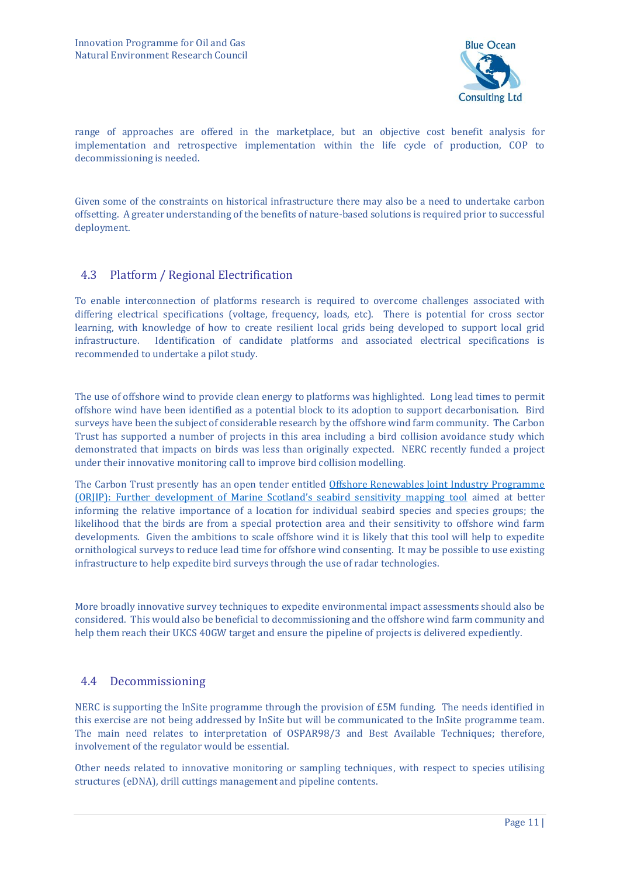

range of approaches are offered in the marketplace, but an objective cost benefit analysis for implementation and retrospective implementation within the life cycle of production, COP to decommissioning is needed.

Given some of the constraints on historical infrastructure there may also be a need to undertake carbon offsetting. A greater understanding of the benefits of nature-based solutions is required prior to successful deployment.

#### 4.3 Platform / Regional Electrification

To enable interconnection of platforms research is required to overcome challenges associated with differing electrical specifications (voltage, frequency, loads, etc). There is potential for cross sector learning, with knowledge of how to create resilient local grids being developed to support local grid infrastructure. Identification of candidate platforms and associated electrical specifications is recommended to undertake a pilot study.

The use of offshore wind to provide clean energy to platforms was highlighted. Long lead times to permit offshore wind have been identified as a potential block to its adoption to support decarbonisation. Bird surveys have been the subject of considerable research by the offshore wind farm community. The Carbon Trust has supported a number of projects in this area including a [bird collision avoidance study](https://www.carbontrust.com/resources/bird-collision-avoidance-study) which demonstrated that impacts on birds was less than originally expected. NERC recently funded a project under their innovative monitoring call to improve bird collision modelling.

The Carbon Trust presently has an open tender entitled [Offshore Renewables Joint Industry Programme](https://www.carbontrust.com/news-and-events/tenders/2020/07/offshore-renewables-joint-industry-programme-orjip-further)  [\(ORJIP\): Further development of Marine Scotland's seabird sensitivity mapping tool](https://www.carbontrust.com/news-and-events/tenders/2020/07/offshore-renewables-joint-industry-programme-orjip-further) aimed at better informing the relative importance of a location for individual seabird species and species groups; the likelihood that the birds are from a special protection area and their sensitivity to offshore wind farm developments. Given the ambitions to scale offshore wind it is likely that this tool will help to expedite ornithological surveys to reduce lead time for offshore wind consenting. It may be possible to use existing infrastructure to help expedite bird surveys through the use of radar technologies.

More broadly innovative survey techniques to expedite environmental impact assessments should also be considered. This would also be beneficial to decommissioning and the offshore wind farm community and help them reach their UKCS 40GW target and ensure the pipeline of projects is delivered expediently.

#### 4.4 Decommissioning

NERC is supporting the InSite programme through the provision of £5M funding. The needs identified in this exercise are not being addressed by InSite but will be communicated to the InSite programme team. The main need relates to interpretation of OSPAR98/3 and Best Available Techniques; therefore, involvement of the regulator would be essential.

Other needs related to innovative monitoring or sampling techniques, with respect to species utilising structures (eDNA), drill cuttings management and pipeline contents.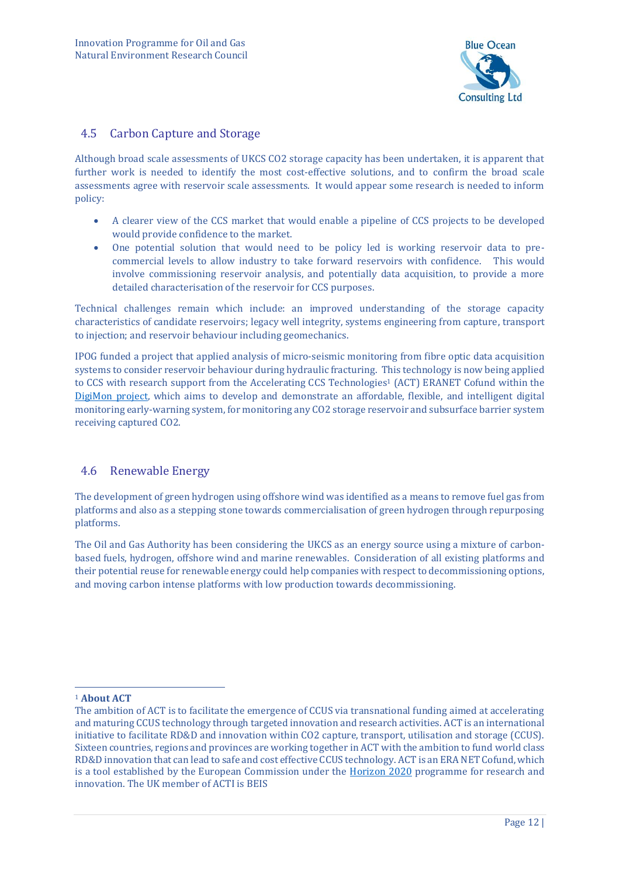

#### 4.5 Carbon Capture and Storage

Although broad scale assessments of UKCS CO2 storage capacity has been undertaken, it is apparent that further work is needed to identify the most cost-effective solutions, and to confirm the broad scale assessments agree with reservoir scale assessments. It would appear some research is needed to inform policy:

- A clearer view of the CCS market that would enable a pipeline of CCS projects to be developed would provide confidence to the market.
- One potential solution that would need to be policy led is working reservoir data to precommercial levels to allow industry to take forward reservoirs with confidence. This would involve commissioning reservoir analysis, and potentially data acquisition, to provide a more detailed characterisation of the reservoir for CCS purposes.

Technical challenges remain which include: an improved understanding of the storage capacity characteristics of candidate reservoirs; legacy well integrity, systems engineering from capture, transport to injection; and reservoir behaviour including geomechanics.

IPOG funded a project that applied analysis of micro-seismic monitoring from fibre optic data acquisition systems to consider reservoir behaviour during hydraulic fracturing. This technology is now being applied to CCS with research support from the Accelerating CCS Technologies<sup>1</sup> (ACT) ERANET Cofund within the [DigiMon project,](http://www.act-ccs.eu/digimon) which aims to develop and demonstrate an affordable, flexible, and intelligent digital monitoring early-warning system, for monitoring any CO2 storage reservoir and subsurface barrier system receiving captured CO2.

#### 4.6 Renewable Energy

The development of green hydrogen using offshore wind was identified as a means to remove fuel gas from platforms and also as a stepping stone towards commercialisation of green hydrogen through repurposing platforms.

The Oil and Gas Authority has been considering the UKCS as an energy source using a mixture of carbonbased fuels, hydrogen, offshore wind and marine renewables. Consideration of all existing platforms and their potential reuse for renewable energy could help companies with respect to decommissioning options, and moving carbon intense platforms with low production towards decommissioning.

<sup>1</sup> **About ACT**

The ambition of ACT is to facilitate the emergence of CCUS via transnational funding aimed at accelerating and maturing CCUS technology through targeted innovation and research activities. ACT is an international initiative to facilitate RD&D and innovation within CO2 capture, transport, utilisation and storage (CCUS). Sixteen countries, regions and provinces are working together in ACT with the ambition to fund world class RD&D innovation that can lead to safe and cost effective CCUS technology. ACT is an ERA NET Cofund, which is a tool established by the European Commission under the [Horizon 2020](https://ec.europa.eu/programmes/horizon2020/) programme for research and innovation. The UK member of ACTI is BEIS